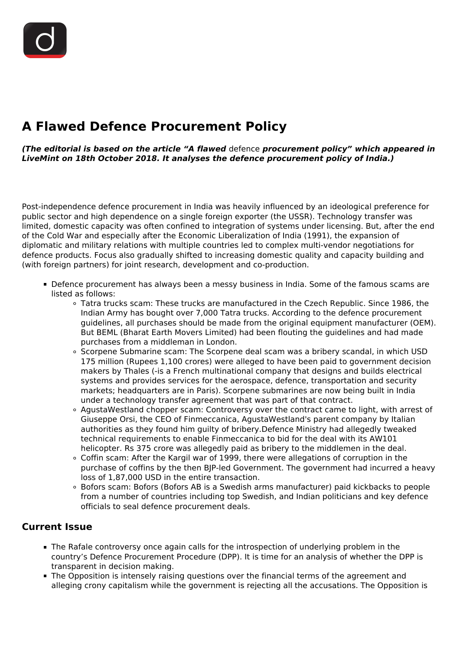# **A Flawed Defence Procurement Policy**

*(The editorial is based on the article "A flawed* defence *procurement policy" which appeared in LiveMint on 18th October 2018. It analyses the defence procurement policy of India.)*

Post-independence defence procurement in India was heavily influenced by an ideological preference for public sector and high dependence on a single foreign exporter (the USSR). Technology transfer was limited, domestic capacity was often confined to integration of systems under licensing. But, after the end of the Cold War and especially after the Economic Liberalization of India (1991), the expansion of diplomatic and military relations with multiple countries led to complex multi-vendor negotiations for defence products. Focus also gradually shifted to increasing domestic quality and capacity building and (with foreign partners) for joint research, development and co-production.

- Defence procurement has always been a messy business in India. Some of the famous scams are listed as follows:
	- Tatra trucks scam: These trucks are manufactured in the Czech Republic. Since 1986, the Indian Army has bought over 7,000 Tatra trucks. According to the defence procurement guidelines, all purchases should be made from the original equipment manufacturer (OEM). But BEML (Bharat Earth Movers Limited) had been flouting the guidelines and had made purchases from a middleman in London.
	- Scorpene Submarine scam: The Scorpene deal scam was a bribery scandal, in which USD 175 million (Rupees 1,100 crores) were alleged to have been paid to government decision makers by Thales (-is a French multinational company that designs and builds electrical systems and provides services for the aerospace, defence, transportation and security markets; headquarters are in Paris). Scorpene submarines are now being built in India under a technology transfer agreement that was part of that contract.
	- AgustaWestland chopper scam: Controversy over the contract came to light, with arrest of Giuseppe Orsi, the CEO of Finmeccanica, AgustaWestland's parent company by Italian authorities as they found him guilty of bribery.Defence Ministry had allegedly tweaked technical requirements to enable Finmeccanica to bid for the deal with its AW101 helicopter. Rs 375 crore was allegedly paid as bribery to the middlemen in the deal.
	- Coffin scam: After the Kargil war of 1999, there were allegations of corruption in the purchase of coffins by the then BJP-led Government. The government had incurred a heavy loss of 1,87,000 USD in the entire transaction.
	- Bofors scam: Bofors (Bofors AB is a Swedish arms manufacturer) paid kickbacks to people from a number of countries including top Swedish, and Indian politicians and key defence officials to seal defence procurement deals.

#### **Current Issue**

- The Rafale controversy once again calls for the introspection of underlying problem in the country's Defence Procurement Procedure (DPP). It is time for an analysis of whether the DPP is transparent in decision making.
- The Opposition is intensely raising questions over the financial terms of the agreement and alleging crony capitalism while the government is rejecting all the accusations. The Opposition is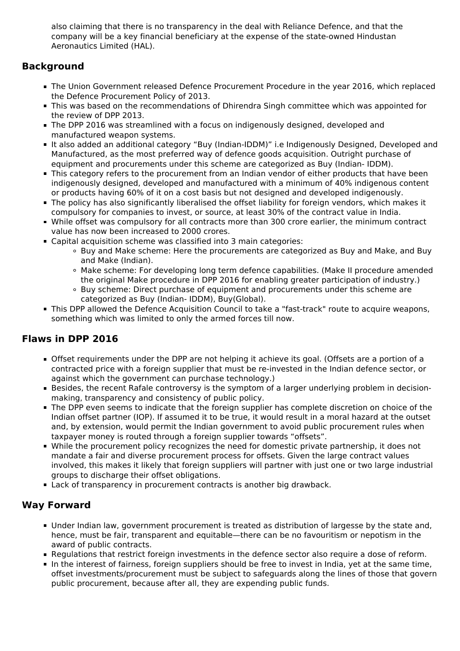also claiming that there is no transparency in the deal with Reliance Defence, and that the company will be a key financial beneficiary at the expense of the state-owned Hindustan Aeronautics Limited (HAL).

## **Background**

- The Union Government released Defence Procurement Procedure in the year 2016, which replaced the Defence Procurement Policy of 2013.
- This was based on the recommendations of Dhirendra Singh committee which was appointed for the review of DPP 2013.
- The DPP 2016 was streamlined with a focus on indigenously designed, developed and manufactured weapon systems.
- It also added an additional category "Buy (Indian-IDDM)" i.e Indigenously Designed, Developed and Manufactured, as the most preferred way of defence goods acquisition. Outright purchase of equipment and procurements under this scheme are categorized as Buy (Indian- IDDM).
- This category refers to the procurement from an Indian vendor of either products that have been indigenously designed, developed and manufactured with a minimum of 40% indigenous content or products having 60% of it on a cost basis but not designed and developed indigenously.
- The policy has also significantly liberalised the offset liability for foreign vendors, which makes it compulsory for companies to invest, or source, at least 30% of the contract value in India.
- While offset was compulsory for all contracts more than 300 crore earlier, the minimum contract value has now been increased to 2000 crores.
- Capital acquisition scheme was classified into 3 main categories:
	- Buy and Make scheme: Here the procurements are categorized as Buy and Make, and Buy and Make (Indian).
	- Make scheme: For developing long term defence capabilities. (Make II procedure amended the original Make procedure in DPP 2016 for enabling greater participation of industry.)
	- Buy scheme: Direct purchase of equipment and procurements under this scheme are categorized as Buy (Indian- IDDM), Buy(Global).
- This DPP allowed the Defence Acquisition Council to take a "fast-track" route to acquire weapons, something which was limited to only the armed forces till now.

## **Flaws in DPP 2016**

- Offset requirements under the DPP are not helping it achieve its goal. (Offsets are a portion of a contracted price with a foreign supplier that must be re-invested in the Indian defence sector, or against which the government can purchase technology.)
- Besides, the recent Rafale controversy is the symptom of a larger underlying problem in decisionmaking, transparency and consistency of public policy.
- The DPP even seems to indicate that the foreign supplier has complete discretion on choice of the Indian offset partner (IOP). If assumed it to be true, it would result in a moral hazard at the outset and, by extension, would permit the Indian government to avoid public procurement rules when taxpayer money is routed through a foreign supplier towards "offsets".
- While the procurement policy recognizes the need for domestic private partnership, it does not mandate a fair and diverse procurement process for offsets. Given the large contract values involved, this makes it likely that foreign suppliers will partner with just one or two large industrial groups to discharge their offset obligations.
- **Lack of transparency in procurement contracts is another big drawback.**

### **Way Forward**

- Under Indian law, government procurement is treated as distribution of largesse by the state and, hence, must be fair, transparent and equitable—there can be no favouritism or nepotism in the award of public contracts.
- **Regulations that restrict foreign investments in the defence sector also require a dose of reform.**
- In the interest of fairness, foreign suppliers should be free to invest in India, yet at the same time, offset investments/procurement must be subject to safeguards along the lines of those that govern public procurement, because after all, they are expending public funds.